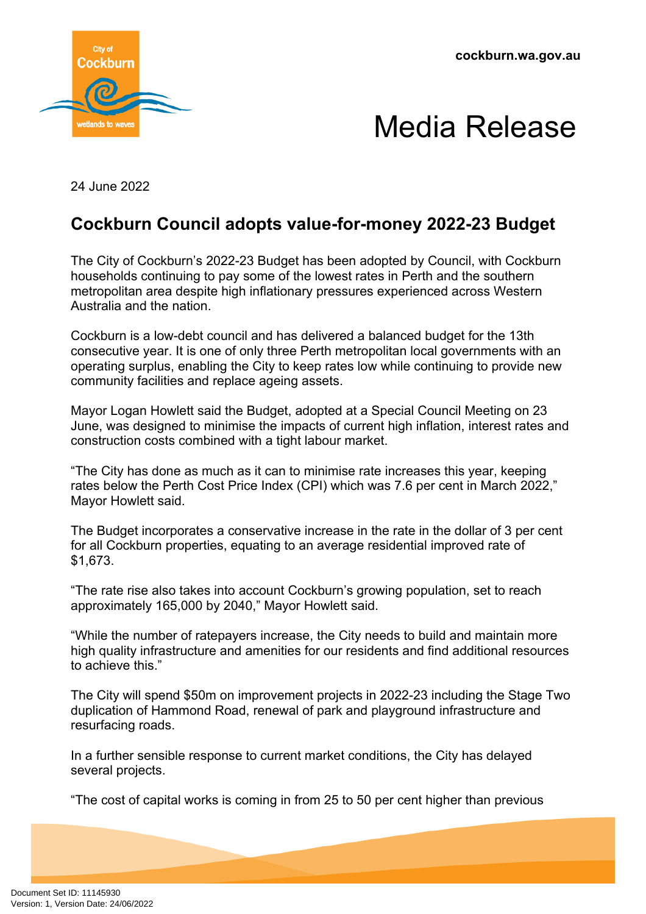**cockburn.wa.gov.au**



## Media Release

24 June 2022

## **Cockburn Council adopts value-for-money 2022-23 Budget**

The City of Cockburn's 2022-23 Budget has been adopted by Council, with Cockburn households continuing to pay some of the lowest rates in Perth and the southern metropolitan area despite high inflationary pressures experienced across Western Australia and the nation.

Cockburn is a low-debt council and has delivered a balanced budget for the 13th consecutive year. It is one of only three Perth metropolitan local governments with an operating surplus, enabling the City to keep rates low while continuing to provide new community facilities and replace ageing assets.

Mayor Logan Howlett said the Budget, adopted at a Special Council Meeting on 23 June, was designed to minimise the impacts of current high inflation, interest rates and construction costs combined with a tight labour market.

"The City has done as much as it can to minimise rate increases this year, keeping rates below the Perth Cost Price Index (CPI) which was 7.6 per cent in March 2022," Mayor Howlett said.

The Budget incorporates a conservative increase in the rate in the dollar of 3 per cent for all Cockburn properties, equating to an average residential improved rate of \$1,673.

"The rate rise also takes into account Cockburn's growing population, set to reach approximately 165,000 by 2040," Mayor Howlett said.

"While the number of ratepayers increase, the City needs to build and maintain more high quality infrastructure and amenities for our residents and find additional resources to achieve this."

The City will spend \$50m on improvement projects in 2022-23 including the Stage Two duplication of Hammond Road, renewal of park and playground infrastructure and resurfacing roads.

In a further sensible response to current market conditions, the City has delayed several projects.

"The cost of capital works is coming in from 25 to 50 per cent higher than previous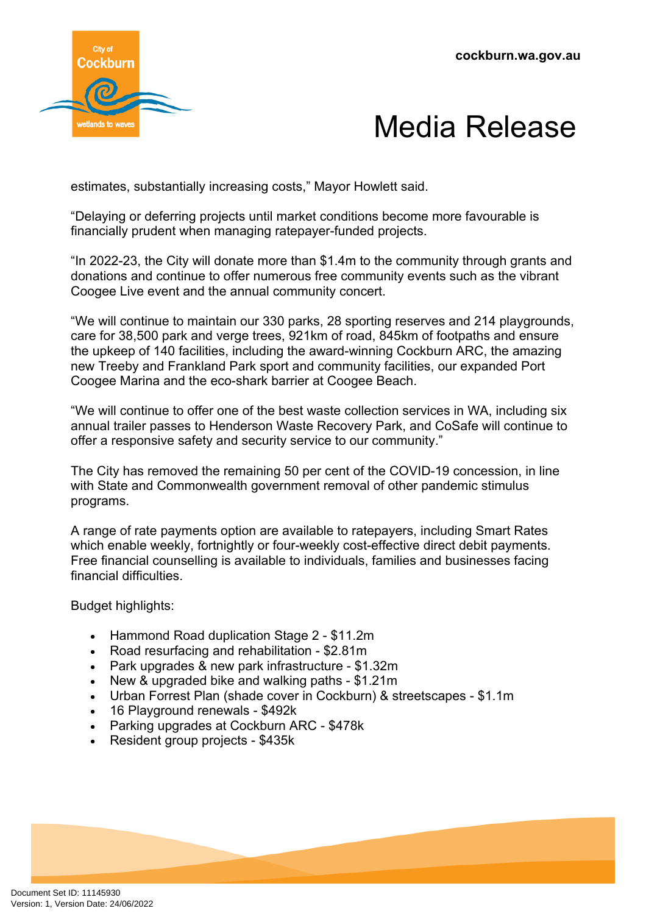



estimates, substantially increasing costs," Mayor Howlett said.

"Delaying or deferring projects until market conditions become more favourable is financially prudent when managing ratepayer-funded projects.

"In 2022-23, the City will donate more than \$1.4m to the community through grants and donations and continue to offer numerous free community events such as the vibrant Coogee Live event and the annual community concert.

"We will continue to maintain our 330 parks, 28 sporting reserves and 214 playgrounds, care for 38,500 park and verge trees, 921km of road, 845km of footpaths and ensure the upkeep of 140 facilities, including the award-winning Cockburn ARC, the amazing new Treeby and Frankland Park sport and community facilities, our expanded Port Coogee Marina and the eco-shark barrier at Coogee Beach.

"We will continue to offer one of the best waste collection services in WA, including six annual trailer passes to Henderson Waste Recovery Park, and CoSafe will continue to offer a responsive safety and security service to our community."

The City has removed the remaining 50 per cent of the COVID-19 concession, in line with State and Commonwealth government removal of other pandemic stimulus programs.

A range of rate payments option are available to ratepayers, including Smart Rates which enable weekly, fortnightly or four-weekly cost-effective direct debit payments. Free financial counselling is available to individuals, families and businesses facing financial difficulties.

Budget highlights:

- Hammond Road duplication Stage 2 \$11.2m
- Road resurfacing and rehabilitation \$2.81m
- Park upgrades & new park infrastructure \$1.32m
- New & upgraded bike and walking paths \$1.21m
- Urban Forrest Plan (shade cover in Cockburn) & streetscapes \$1.1m
- 16 Playground renewals \$492k
- Parking upgrades at Cockburn ARC \$478k
- Resident group projects \$435k